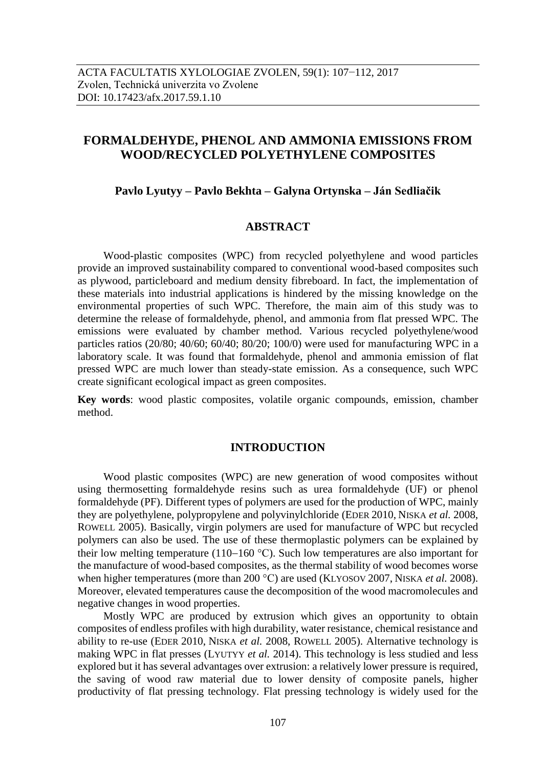# **FORMALDEHYDE, PHENOL AND AMMONIA EMISSIONS FROM WOOD/RECYCLED POLYETHYLENE COMPOSITES**

#### **Pavlo Lyutyy – Pavlo Bekhta – Galyna Ortynska – Ján Sedliačik**

# **ABSTRACT**

Wood-plastic composites (WPC) from recycled polyethylene and wood particles provide an improved sustainability compared to conventional wood-based composites such as plywood, particleboard and medium density fibreboard. In fact, the implementation of these materials into industrial applications is hindered by the missing knowledge on the environmental properties of such WPC. Therefore, the main aim of this study was to determine the release of formaldehyde, phenol, and ammonia from flat pressed WPC. The emissions were evaluated by chamber method. Various recycled polyethylene/wood particles ratios (20/80; 40/60; 60/40; 80/20; 100/0) were used for manufacturing WPC in a laboratory scale. It was found that formaldehyde, phenol and ammonia emission of flat pressed WPC are much lower than steady-state emission. As a consequence, such WPC create significant ecological impact as green composites.

**Key words**: wood plastic composites, volatile organic compounds, emission, chamber method.

#### **INTRODUCTION**

Wood plastic composites (WPC) are new generation of wood composites without using thermosetting formaldehyde resins such as urea formaldehyde (UF) or phenol formaldehyde (PF). Different types of polymers are used for the production of WPC, mainly they are polyethylene, polypropylene and polyvinylchloride (EDER 2010, NISKA *et al.* 2008, ROWELL 2005). Basically, virgin polymers are used for manufacture of WPC but recycled polymers can also be used. The use of these thermoplastic polymers can be explained by their low melting temperature (110–160 °C). Such low temperatures are also important for the manufacture of wood-based composites, as the thermal stability of wood becomes worse when higher temperatures (more than 200 °C) are used (KLYOSOV 2007, NISKA *et al.* 2008). Moreover, elevated temperatures cause the decomposition of the wood macromolecules and negative changes in wood properties.

Mostly WPC are produced by extrusion which gives an opportunity to obtain composites of endless profiles with high durability, water resistance, chemical resistance and ability to re-use (EDER 2010, NISKA *et al.* 2008, ROWELL 2005). Alternative technology is making WPC in flat presses (LYUTYY *et al.* 2014). This technology is less studied and less explored but it has several advantages over extrusion: a relatively lower pressure is required, the saving of wood raw material due to lower density of composite panels, higher productivity of flat pressing technology. Flat pressing technology is widely used for the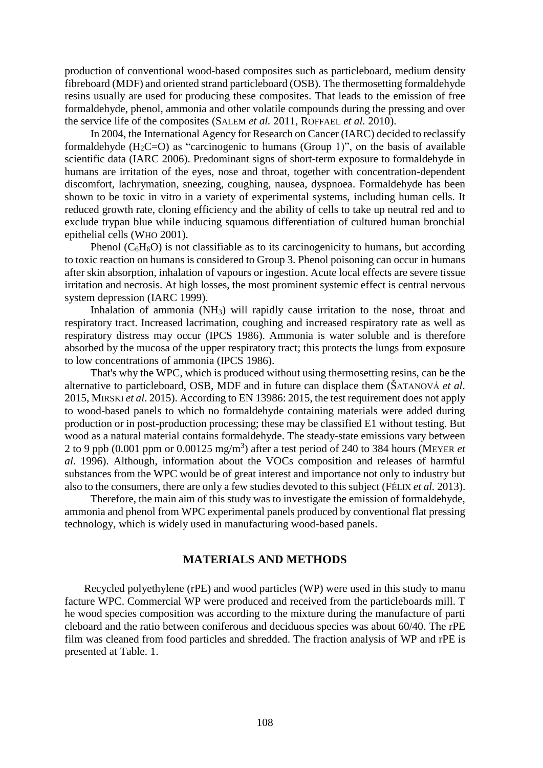production of conventional wood-based composites such as particleboard, medium density fibreboard (MDF) and oriented strand particleboard (OSB). The thermosetting formaldehyde resins usually are used for producing these composites. That leads to the emission of free formaldehyde, phenol, ammonia and other volatile compounds during the pressing and over the service life of the composites (SALEM *et al.* 2011, ROFFAEL *et al.* 2010).

In 2004, the International Agency for Research on Cancer (IARC) decided to reclassify formaldehyde ( $H_2C=O$ ) as "carcinogenic to humans (Group 1)", on the basis of available scientific data (IARC 2006). Predominant signs of short-term exposure to formaldehyde in humans are irritation of the eyes, nose and throat, together with concentration-dependent discomfort, lachrymation, sneezing, coughing, nausea, dyspnoea. Formaldehyde has been shown to be toxic in vitro in a variety of experimental systems, including human cells. It reduced growth rate, cloning efficiency and the ability of cells to take up neutral red and to exclude trypan blue while inducing squamous differentiation of cultured human bronchial epithelial cells (WHO 2001).

Phenol  $(C_6H_6O)$  is not classifiable as to its carcinogenicity to humans, but according to toxic reaction on humans is considered to Group 3. Phenol poisoning can occur in humans after skin absorption, inhalation of vapours or ingestion. Acute local effects are severe tissue irritation and necrosis. At high losses, the most prominent systemic effect is central nervous system depression (IARC 1999).

Inhalation of ammonia (NH3) will rapidly cause irritation to the nose, throat and respiratory tract. Increased lacrimation, coughing and increased respiratory rate as well as respiratory distress may occur (IPCS 1986). Ammonia is water soluble and is therefore absorbed by the mucosa of the upper respiratory tract; this protects the lungs from exposure to low concentrations of ammonia (IPCS 1986).

That's why the WPC, which is produced without using thermosetting resins, can be the alternative to particleboard, OSB, MDF and in future can displace them (ŠATANOVÁ *et al*. 2015, MIRSKI *et al*. 2015). According to EN 13986: 2015, the test requirement does not apply to wood-based panels to which no formaldehyde containing materials were added during production or in post-production processing; these may be classified E1 without testing. But wood as a natural material contains formaldehyde. The steady-state emissions vary between 2 to 9 ppb (0.001 ppm or 0.00125 mg/m<sup>3</sup> ) after a test period of 240 to 384 hours (MEYER *et al.* 1996). Although, information about the VOCs composition and releases of harmful substances from the WPC would be of great interest and importance not only to industry but also to the consumers, there are only a few studies devoted to this subject (FÉLIX *et al.* 2013).

Therefore, the main aim of this study was to investigate the emission of formaldehyde, ammonia and phenol from WPC experimental panels produced by conventional flat pressing technology, which is widely used in manufacturing wood-based panels.

## **MATERIALS AND METHODS**

Recycled polyethylene (rPE) and wood particles (WP) were used in this study to manu facture WPC. Commercial WP were produced and received from the particleboards mill. T he wood species composition was according to the mixture during the manufacture of parti cleboard and the ratio between coniferous and deciduous species was about 60/40. The rPE film was cleaned from food particles and shredded. The fraction analysis of WP and rPE is presented at Table. 1.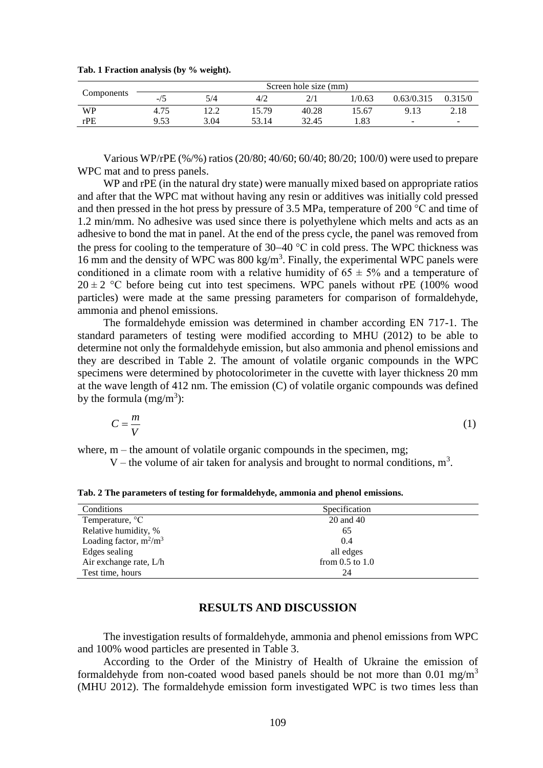| Components | Screen hole size (mm) |                 |       |       |        |                          |         |
|------------|-----------------------|-----------------|-------|-------|--------|--------------------------|---------|
|            | -/ɔ                   | 5/4             | 4/2   |       | 1/0.63 | 0.63/0.315               | 0.315/0 |
| <b>WP</b>  | 4.75                  | $1 \cap \Omega$ | 15.79 | 40.28 | 15.67  | 9.13                     | 2.18    |
| rPE        | 9.53                  | 3.04            | 53 14 | 32.45 | .83    | $\overline{\phantom{a}}$ | $\sim$  |

**Tab. 1 Fraction analysis (by % weight).**

Various WP/rPE (%/%) ratios (20/80; 40/60; 60/40; 80/20; 100/0) were used to prepare WPC mat and to press panels.

WP and rPE (in the natural dry state) were manually mixed based on appropriate ratios and after that the WPC mat without having any resin or additives was initially cold pressed and then pressed in the hot press by pressure of 3.5 MPa, temperature of 200 °C and time of 1.2 min/mm. No adhesive was used since there is polyethylene which melts and acts as an adhesive to bond the mat in panel. At the end of the press cycle, the panel was removed from the press for cooling to the temperature of  $30-40$  °C in cold press. The WPC thickness was 16 mm and the density of WPC was 800 kg/m<sup>3</sup>. Finally, the experimental WPC panels were conditioned in a climate room with a relative humidity of  $65 \pm 5\%$  and a temperature of  $20 \pm 2$  °C before being cut into test specimens. WPC panels without rPE (100% wood particles) were made at the same pressing parameters for comparison of formaldehyde, ammonia and phenol emissions.

The formaldehyde emission was determined in chamber according EN 717-1. The standard parameters of testing were modified according to MHU (2012) to be able to determine not only the formaldehyde emission, but also ammonia and phenol emissions and they are described in Table 2. The amount of volatile organic compounds in the WPC specimens were determined by photocolorimeter in the cuvette with layer thickness 20 mm at the wave length of 412 nm. The emission (C) of volatile organic compounds was defined by the formula  $(mg/m^3)$ :

$$
C = \frac{m}{V} \tag{1}
$$

where,  $m$  – the amount of volatile organic compounds in the specimen, mg;

V – the volume of air taken for analysis and brought to normal conditions,  $m<sup>3</sup>$ .

**Tab. 2 The parameters of testing for formaldehyde, ammonia and phenol emissions.**

| Conditions                  | Specification       |  |
|-----------------------------|---------------------|--|
| Temperature, <sup>o</sup> C | 20 and 40           |  |
| Relative humidity, %        | 65                  |  |
| Loading factor, $m^2/m^3$   | 0.4                 |  |
| Edges sealing               | all edges           |  |
| Air exchange rate, L/h      | from $0.5$ to $1.0$ |  |
| Test time, hours            | 24                  |  |

#### **RESULTS AND DISCUSSION**

The investigation results of formaldehyde, ammonia and phenol emissions from WPC and 100% wood particles are presented in Table 3.

According to the Order of the Ministry of Health of Ukraine the emission of formaldehyde from non-coated wood based panels should be not more than 0.01 mg/m<sup>3</sup> (MHU 2012). The formaldehyde emission form investigated WPC is two times less than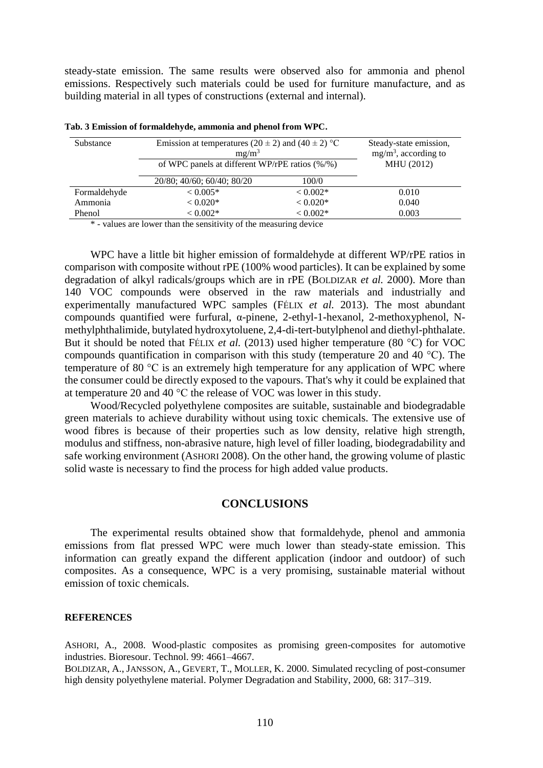steady-state emission. The same results were observed also for ammonia and phenol emissions. Respectively such materials could be used for furniture manufacture, and as building material in all types of constructions (external and internal).

| Substance    | Emission at temperatures (20 $\pm$ 2) and (40 $\pm$ 2) °C<br>$mg/m^3$ | Steady-state emission,<br>$mg/m3$ , according to<br>MHU (2012) |       |
|--------------|-----------------------------------------------------------------------|----------------------------------------------------------------|-------|
|              | of WPC panels at different WP/rPE ratios $(\frac{6}{9})$              |                                                                |       |
|              | 20/80; 40/60; 60/40; 80/20                                            | 100/0                                                          |       |
| Formaldehyde | $< 0.005*$                                                            | $< 0.002*$                                                     | 0.010 |
| Ammonia      | $< 0.020*$                                                            | $< 0.020*$                                                     | 0.040 |
| Phenol       | $< 0.002*$                                                            | $< 0.002*$                                                     | 0.003 |

|  |  |  |  | Tab. 3 Emission of formaldehyde, ammonia and phenol from WPC. |
|--|--|--|--|---------------------------------------------------------------|
|--|--|--|--|---------------------------------------------------------------|

\* - values are lower than the sensitivity of the measuring device

WPC have a little bit higher emission of formaldehyde at different WP/rPE ratios in comparison with composite without rPE (100% wood particles). It can be explained by some degradation of alkyl radicals/groups which are in rPE (BOLDIZAR *et al.* 2000). More than 140 VOC compounds were observed in the raw materials and industrially and experimentally manufactured WPC samples (FÉLIX *et al.* 2013). The most abundant compounds quantified were furfural, α-pinene, 2-ethyl-1-hexanol, 2-methoxyphenol, Nmethylphthalimide, butylated hydroxytoluene, 2,4-di-tert-butylphenol and diethyl-phthalate. But it should be noted that FÉLIX *et al.* (2013) used higher temperature (80 °C) for VOC compounds quantification in comparison with this study (temperature 20 and 40 °C). The temperature of 80 °C is an extremely high temperature for any application of WPC where the consumer could be directly exposed to the vapours. That's why it could be explained that at temperature 20 and 40 °C the release of VOC was lower in this study.

Wood/Recycled polyethylene composites are suitable, sustainable and biodegradable green materials to achieve durability without using toxic chemicals. The extensive use of wood fibres is because of their properties such as low density, relative high strength, modulus and stiffness, non-abrasive nature, high level of filler loading, biodegradability and safe working environment (ASHORI 2008). On the other hand, the growing volume of plastic solid waste is necessary to find the process for high added value products.

#### **CONCLUSIONS**

The experimental results obtained show that formaldehyde, phenol and ammonia emissions from flat pressed WPC were much lower than steady-state emission. This information can greatly expand the different application (indoor and outdoor) of such composites. As a consequence, WPC is a very promising, sustainable material without emission of toxic chemicals.

#### **REFERENCES**

ASHORI, A., 2008. Wood-plastic composites as promising green-composites for automotive industries. Bioresour. Technol. 99: 4661–4667.

BOLDIZAR, A., JANSSON, A., GEVERT, T., MOLLER, K. 2000. Simulated recycling of post-consumer high density polyethylene material. Polymer Degradation and Stability, 2000, 68: 317–319.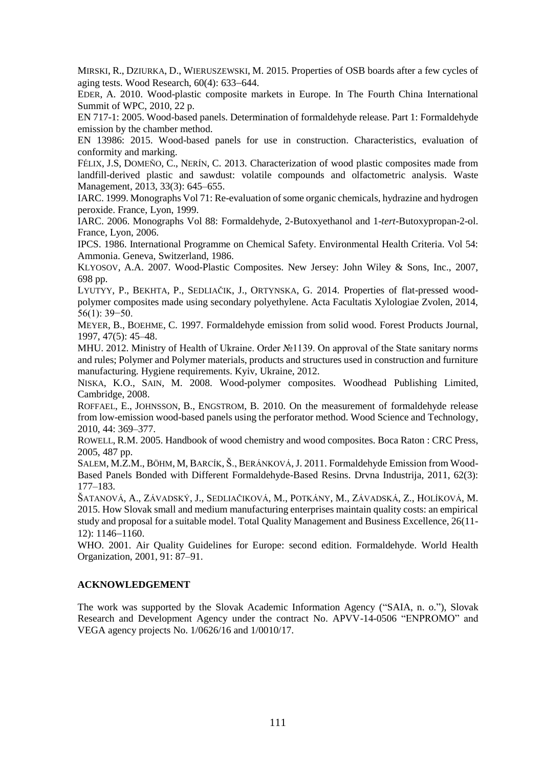MIRSKI, R., DZIURKA, D., WIERUSZEWSKI, M. 2015. Properties of OSB boards after a few cycles of aging tests. Wood Research,  $60(4)$ : 633–644.

EDER, A. 2010. Wood-plastic composite markets in Europe. In The Fourth China International Summit of WPC, 2010, 22 p.

EN 717-1: 2005. Wood-based panels. Determination of formaldehyde release. Part 1: Formaldehyde emission by the chamber method.

EN 13986: 2015. Wood-based panels for use in construction. Characteristics, evaluation of conformity and marking.

F[ÉLIX](http://www.ncbi.nlm.nih.gov/pubmed/?term=F%C3%A9lix%20JS%5BAuthor%5D&cauthor=true&cauthor_uid=23259974), J.S, D[OMEÑO](http://www.ncbi.nlm.nih.gov/pubmed/?term=Dome%C3%B1o%20C%5BAuthor%5D&cauthor=true&cauthor_uid=23259974), C., N[ERÍN](http://www.ncbi.nlm.nih.gov/pubmed/?term=Ner%C3%ADn%20C%5BAuthor%5D&cauthor=true&cauthor_uid=23259974), C. 2013. Characterization of wood plastic composites made from landfill-derived plastic and sawdust: volatile compounds and olfactometric analysis. [Waste](http://www.ncbi.nlm.nih.gov/pubmed/23259974)  [Management,](http://www.ncbi.nlm.nih.gov/pubmed/23259974) 2013, 33(3): 645–655.

IARC. 1999. Monographs Vol 71: Re-evaluation of some organic chemicals, hydrazine and hydrogen peroxide. France, Lyon, 1999.

IARC. 2006. Monographs Vol 88: Formaldehyde, 2-Butoxyethanol and 1-*tert*-Butoxypropan-2-ol. France, Lyon, 2006.

IPCS. 1986. International Programme on Chemical Safety. Environmental Health Criteria. Vol 54: Ammonia. Geneva, Switzerland, 1986.

KLYOSOV, A.A. 2007. Wood-Plastic Composites. New Jersey: John Wiley & Sons, Inc., 2007, 698 pp.

LYUTYY, P., BEKHTA, P., SEDLIAČIK, J., ORTYNSKA, G. 2014. Properties of flat-pressed woodpolymer composites made using secondary polyethylene. Acta Facultatis Xylologiae Zvolen, 2014, 56(1): 39−50.

MEYER, B., BOEHME, C. 1997. Formaldehyde emission from solid wood. Forest Products Journal, 1997, 47(5): 45–48.

MHU. 2012. Ministry of Health of Ukraine. Order №1139. On approval of the State sanitary norms and rules; Polymer and Polymer materials, products and structures used in construction and furniture manufacturing. Hygiene requirements. Kyiv, Ukraine, 2012.

NISKA, K.O., SAIN, M. 2008. Wood-polymer composites. Woodhead Publishing Limited, Cambridge, 2008.

ROFFAEL, E., JOHNSSON, B., ENGSTROM, B. 2010. On the measurement of formaldehyde release from low-emission wood-based panels using the perforator method. Wood Science and Technology, 2010, 44: 369–377.

ROWELL, R.M. 2005. Handbook of wood chemistry and wood composites. Boca Raton : CRC Press, 2005, 487 pp.

SALEM, M.Z.M., BÖHM, M, BARCÍK, Š., BERÁNKOVÁ,J. 2011. Formaldehyde Emission from Wood-Based Panels Bonded with Different Formaldehyde-Based Resins. Drvna Industrija, 2011, 62(3): 177–183.

ŠATANOVÁ, A., ZÁVADSKÝ, J., SEDLIAČIKOVÁ, M., POTKÁNY, M., ZÁVADSKÁ, Z., HOLÍKOVÁ, M. 2015. How Slovak small and medium manufacturing enterprises maintain quality costs: an empirical study and proposal for a suitable model. Total Quality Management and Business Excellence, 26(11- 12): 1146-1160.

WHO. 2001. Air Quality Guidelines for Europe: second edition. Formaldehyde. World Health Organization, 2001, 91: 87–91.

#### **ACKNOWLEDGEMENT**

The work was supported by the Slovak Academic Information Agency ("SAIA, n. o."), Slovak Research and Development Agency under the contract No. APVV-14-0506 "ENPROMO" and VEGA agency projects No. 1/0626/16 and 1/0010/17.